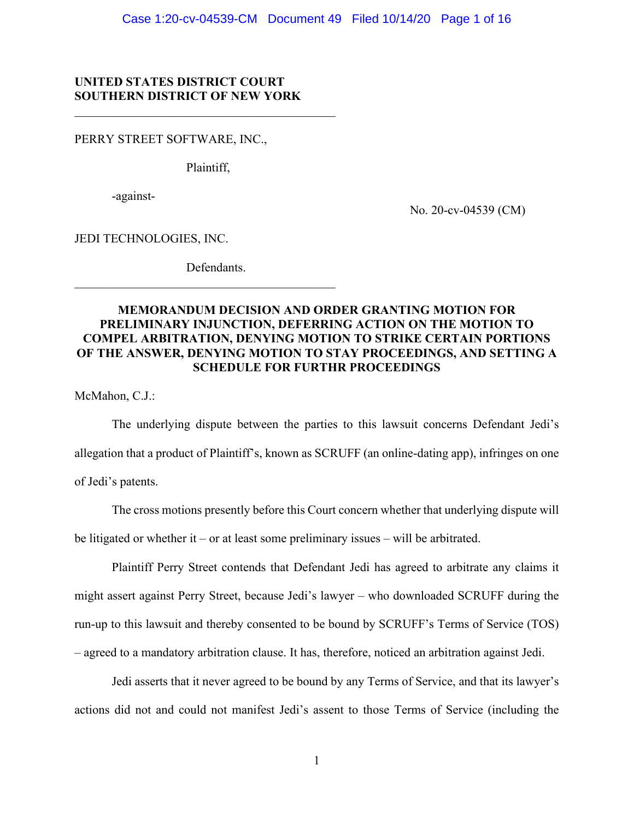## **UNITED STATES DISTRICT COURT SOUTHERN DISTRICT OF NEW YORK**

PERRY STREET SOFTWARE, INC.,

Plaintiff,

-against-

No. 20-cv-04539 (CM)

JEDI TECHNOLOGIES, INC.

Defendants.

 $\mathcal{L}_\mathcal{L}$  , which is a set of the set of the set of the set of the set of the set of the set of the set of the set of the set of the set of the set of the set of the set of the set of the set of the set of the set of

# **MEMORANDUM DECISION AND ORDER GRANTING MOTION FOR PRELIMINARY INJUNCTION, DEFERRING ACTION ON THE MOTION TO COMPEL ARBITRATION, DENYING MOTION TO STRIKE CERTAIN PORTIONS OF THE ANSWER, DENYING MOTION TO STAY PROCEEDINGS, AND SETTING A SCHEDULE FOR FURTHR PROCEEDINGS**

McMahon, C.J.:

The underlying dispute between the parties to this lawsuit concerns Defendant Jedi's allegation that a product of Plaintiff's, known as SCRUFF (an online-dating app), infringes on one of Jedi's patents.

The cross motions presently before this Court concern whether that underlying dispute will be litigated or whether it – or at least some preliminary issues – will be arbitrated.

Plaintiff Perry Street contends that Defendant Jedi has agreed to arbitrate any claims it might assert against Perry Street, because Jedi's lawyer – who downloaded SCRUFF during the run-up to this lawsuit and thereby consented to be bound by SCRUFF's Terms of Service (TOS) – agreed to a mandatory arbitration clause. It has, therefore, noticed an arbitration against Jedi.

Jedi asserts that it never agreed to be bound by any Terms of Service, and that its lawyer's actions did not and could not manifest Jedi's assent to those Terms of Service (including the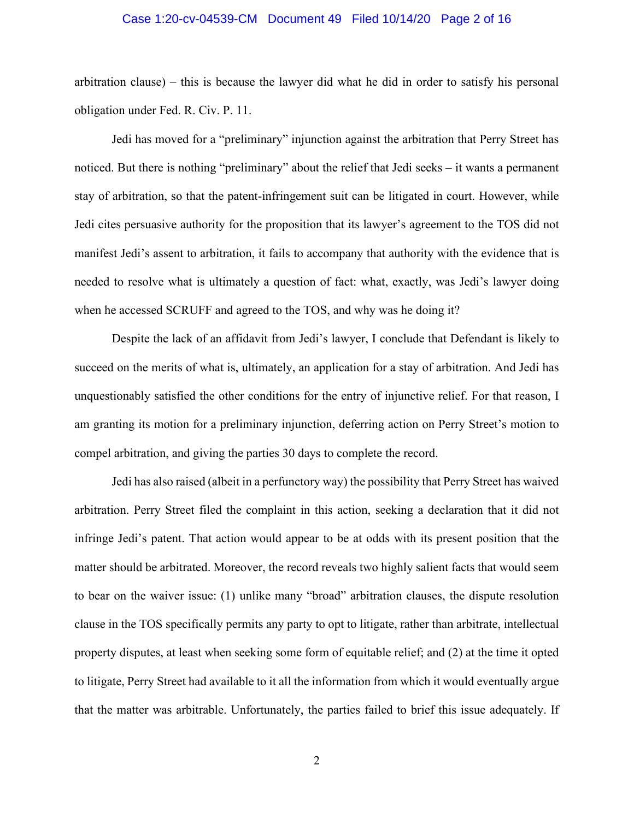#### Case 1:20-cv-04539-CM Document 49 Filed 10/14/20 Page 2 of 16

arbitration clause) – this is because the lawyer did what he did in order to satisfy his personal obligation under Fed. R. Civ. P. 11.

Jedi has moved for a "preliminary" injunction against the arbitration that Perry Street has noticed. But there is nothing "preliminary" about the relief that Jedi seeks – it wants a permanent stay of arbitration, so that the patent-infringement suit can be litigated in court. However, while Jedi cites persuasive authority for the proposition that its lawyer's agreement to the TOS did not manifest Jedi's assent to arbitration, it fails to accompany that authority with the evidence that is needed to resolve what is ultimately a question of fact: what, exactly, was Jedi's lawyer doing when he accessed SCRUFF and agreed to the TOS, and why was he doing it?

Despite the lack of an affidavit from Jedi's lawyer, I conclude that Defendant is likely to succeed on the merits of what is, ultimately, an application for a stay of arbitration. And Jedi has unquestionably satisfied the other conditions for the entry of injunctive relief. For that reason, I am granting its motion for a preliminary injunction, deferring action on Perry Street's motion to compel arbitration, and giving the parties 30 days to complete the record.

Jedi has also raised (albeit in a perfunctory way) the possibility that Perry Street has waived arbitration. Perry Street filed the complaint in this action, seeking a declaration that it did not infringe Jedi's patent. That action would appear to be at odds with its present position that the matter should be arbitrated. Moreover, the record reveals two highly salient facts that would seem to bear on the waiver issue: (1) unlike many "broad" arbitration clauses, the dispute resolution clause in the TOS specifically permits any party to opt to litigate, rather than arbitrate, intellectual property disputes, at least when seeking some form of equitable relief; and (2) at the time it opted to litigate, Perry Street had available to it all the information from which it would eventually argue that the matter was arbitrable. Unfortunately, the parties failed to brief this issue adequately. If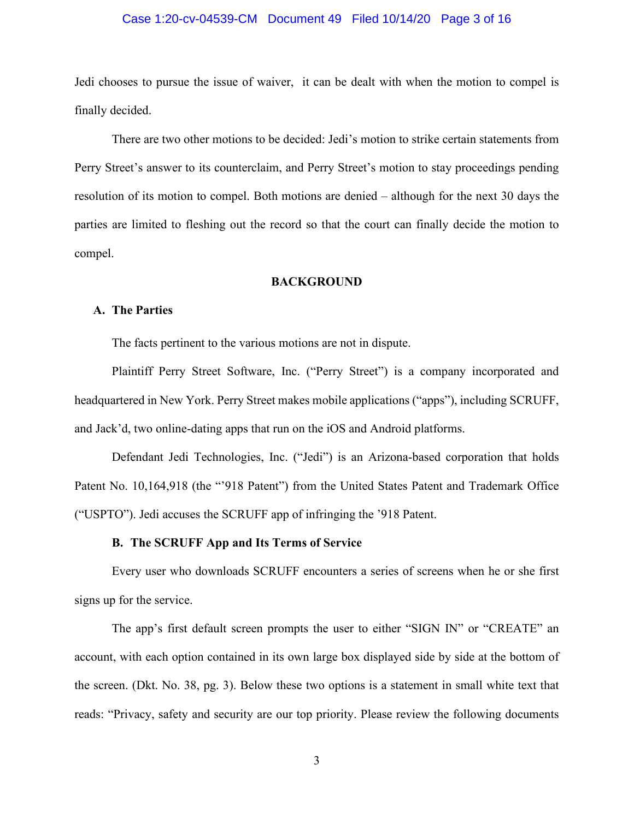## Case 1:20-cv-04539-CM Document 49 Filed 10/14/20 Page 3 of 16

Jedi chooses to pursue the issue of waiver, it can be dealt with when the motion to compel is finally decided.

There are two other motions to be decided: Jedi's motion to strike certain statements from Perry Street's answer to its counterclaim, and Perry Street's motion to stay proceedings pending resolution of its motion to compel. Both motions are denied – although for the next 30 days the parties are limited to fleshing out the record so that the court can finally decide the motion to compel.

## **BACKGROUND**

## **A. The Parties**

The facts pertinent to the various motions are not in dispute.

Plaintiff Perry Street Software, Inc. ("Perry Street") is a company incorporated and headquartered in New York. Perry Street makes mobile applications ("apps"), including SCRUFF, and Jack'd, two online-dating apps that run on the iOS and Android platforms.

Defendant Jedi Technologies, Inc. ("Jedi") is an Arizona-based corporation that holds Patent No. 10,164,918 (the "'918 Patent") from the United States Patent and Trademark Office ("USPTO"). Jedi accuses the SCRUFF app of infringing the '918 Patent.

## **B. The SCRUFF App and Its Terms of Service**

Every user who downloads SCRUFF encounters a series of screens when he or she first signs up for the service.

The app's first default screen prompts the user to either "SIGN IN" or "CREATE" an account, with each option contained in its own large box displayed side by side at the bottom of the screen. (Dkt. No. 38, pg. 3). Below these two options is a statement in small white text that reads: "Privacy, safety and security are our top priority. Please review the following documents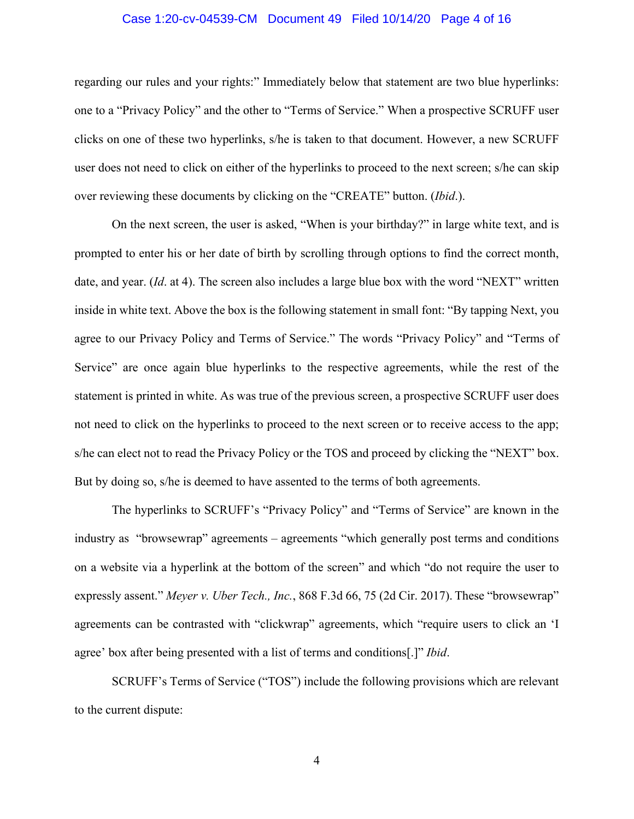### Case 1:20-cv-04539-CM Document 49 Filed 10/14/20 Page 4 of 16

regarding our rules and your rights:" Immediately below that statement are two blue hyperlinks: one to a "Privacy Policy" and the other to "Terms of Service." When a prospective SCRUFF user clicks on one of these two hyperlinks, s/he is taken to that document. However, a new SCRUFF user does not need to click on either of the hyperlinks to proceed to the next screen; s/he can skip over reviewing these documents by clicking on the "CREATE" button. (*Ibid*.).

On the next screen, the user is asked, "When is your birthday?" in large white text, and is prompted to enter his or her date of birth by scrolling through options to find the correct month, date, and year. (*Id*. at 4). The screen also includes a large blue box with the word "NEXT" written inside in white text. Above the box is the following statement in small font: "By tapping Next, you agree to our Privacy Policy and Terms of Service." The words "Privacy Policy" and "Terms of Service" are once again blue hyperlinks to the respective agreements, while the rest of the statement is printed in white. As was true of the previous screen, a prospective SCRUFF user does not need to click on the hyperlinks to proceed to the next screen or to receive access to the app; s/he can elect not to read the Privacy Policy or the TOS and proceed by clicking the "NEXT" box. But by doing so, s/he is deemed to have assented to the terms of both agreements.

The hyperlinks to SCRUFF's "Privacy Policy" and "Terms of Service" are known in the industry as "browsewrap" agreements – agreements "which generally post terms and conditions on a website via a hyperlink at the bottom of the screen" and which "do not require the user to expressly assent." *Meyer v. Uber Tech., Inc.*, 868 F.3d 66, 75 (2d Cir. 2017). These "browsewrap" agreements can be contrasted with "clickwrap" agreements, which "require users to click an 'I agree' box after being presented with a list of terms and conditions[.]" *Ibid*.

SCRUFF's Terms of Service ("TOS") include the following provisions which are relevant to the current dispute: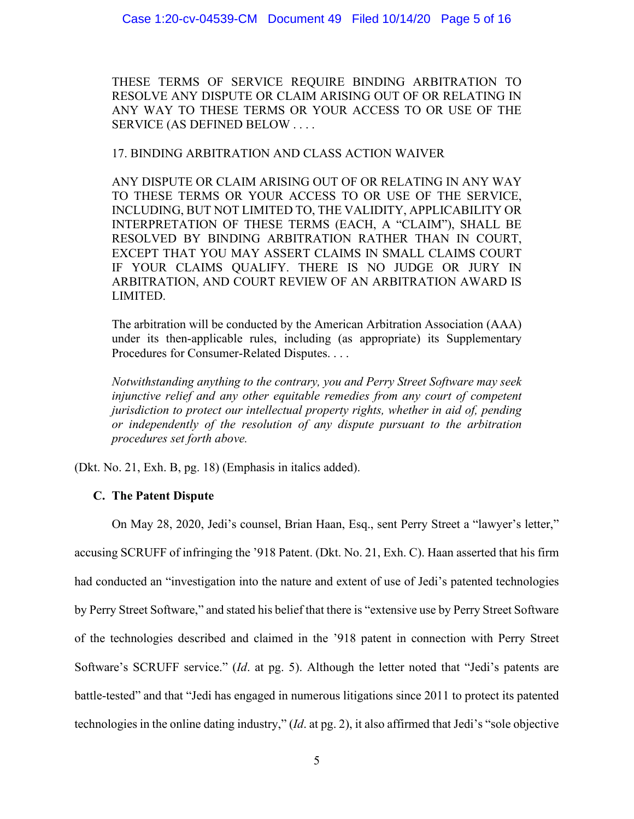THESE TERMS OF SERVICE REQUIRE BINDING ARBITRATION TO RESOLVE ANY DISPUTE OR CLAIM ARISING OUT OF OR RELATING IN ANY WAY TO THESE TERMS OR YOUR ACCESS TO OR USE OF THE SERVICE (AS DEFINED BELOW . . . .

17. BINDING ARBITRATION AND CLASS ACTION WAIVER

ANY DISPUTE OR CLAIM ARISING OUT OF OR RELATING IN ANY WAY TO THESE TERMS OR YOUR ACCESS TO OR USE OF THE SERVICE, INCLUDING, BUT NOT LIMITED TO, THE VALIDITY, APPLICABILITY OR INTERPRETATION OF THESE TERMS (EACH, A "CLAIM"), SHALL BE RESOLVED BY BINDING ARBITRATION RATHER THAN IN COURT, EXCEPT THAT YOU MAY ASSERT CLAIMS IN SMALL CLAIMS COURT IF YOUR CLAIMS QUALIFY. THERE IS NO JUDGE OR JURY IN ARBITRATION, AND COURT REVIEW OF AN ARBITRATION AWARD IS LIMITED.

The arbitration will be conducted by the American Arbitration Association (AAA) under its then-applicable rules, including (as appropriate) its Supplementary Procedures for Consumer-Related Disputes. . . .

*Notwithstanding anything to the contrary, you and Perry Street Software may seek injunctive relief and any other equitable remedies from any court of competent jurisdiction to protect our intellectual property rights, whether in aid of, pending or independently of the resolution of any dispute pursuant to the arbitration procedures set forth above.*

(Dkt. No. 21, Exh. B, pg. 18) (Emphasis in italics added).

# **C. The Patent Dispute**

On May 28, 2020, Jedi's counsel, Brian Haan, Esq., sent Perry Street a "lawyer's letter," accusing SCRUFF of infringing the '918 Patent. (Dkt. No. 21, Exh. C). Haan asserted that his firm had conducted an "investigation into the nature and extent of use of Jedi's patented technologies by Perry Street Software," and stated his belief that there is "extensive use by Perry Street Software of the technologies described and claimed in the '918 patent in connection with Perry Street Software's SCRUFF service." (*Id*. at pg. 5). Although the letter noted that "Jedi's patents are battle-tested" and that "Jedi has engaged in numerous litigations since 2011 to protect its patented technologies in the online dating industry," (*Id*. at pg. 2), it also affirmed that Jedi's "sole objective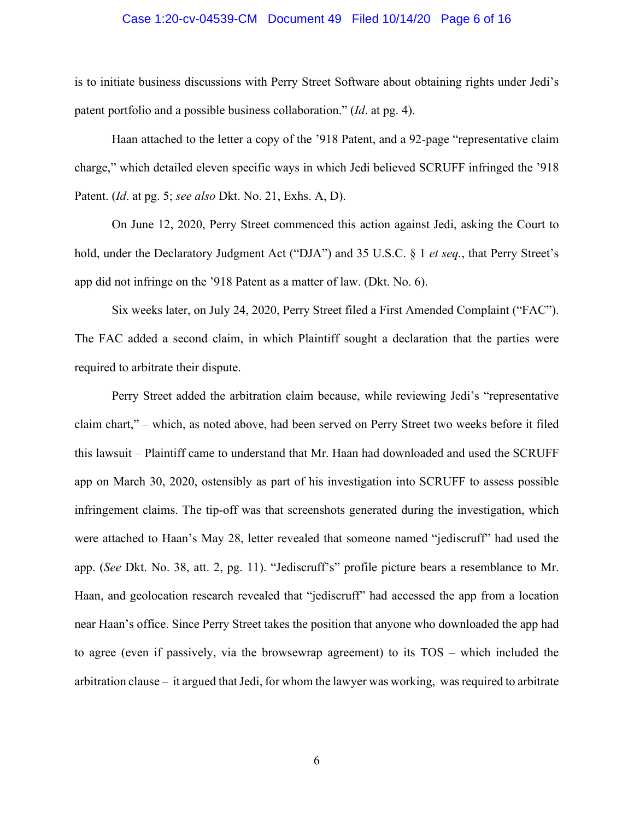#### Case 1:20-cv-04539-CM Document 49 Filed 10/14/20 Page 6 of 16

is to initiate business discussions with Perry Street Software about obtaining rights under Jedi's patent portfolio and a possible business collaboration." (*Id*. at pg. 4).

Haan attached to the letter a copy of the '918 Patent, and a 92-page "representative claim charge," which detailed eleven specific ways in which Jedi believed SCRUFF infringed the '918 Patent. (*Id*. at pg. 5; *see also* Dkt. No. 21, Exhs. A, D).

On June 12, 2020, Perry Street commenced this action against Jedi, asking the Court to hold, under the Declaratory Judgment Act ("DJA") and 35 U.S.C. § 1 *et seq.*, that Perry Street's app did not infringe on the '918 Patent as a matter of law. (Dkt. No. 6).

Six weeks later, on July 24, 2020, Perry Street filed a First Amended Complaint ("FAC"). The FAC added a second claim, in which Plaintiff sought a declaration that the parties were required to arbitrate their dispute.

Perry Street added the arbitration claim because, while reviewing Jedi's "representative claim chart," – which, as noted above, had been served on Perry Street two weeks before it filed this lawsuit – Plaintiff came to understand that Mr. Haan had downloaded and used the SCRUFF app on March 30, 2020, ostensibly as part of his investigation into SCRUFF to assess possible infringement claims. The tip-off was that screenshots generated during the investigation, which were attached to Haan's May 28, letter revealed that someone named "jediscruff" had used the app. (*See* Dkt. No. 38, att. 2, pg. 11). "Jediscruff's" profile picture bears a resemblance to Mr. Haan, and geolocation research revealed that "jediscruff" had accessed the app from a location near Haan's office. Since Perry Street takes the position that anyone who downloaded the app had to agree (even if passively, via the browsewrap agreement) to its TOS – which included the arbitration clause – it argued that Jedi, for whom the lawyer was working, was required to arbitrate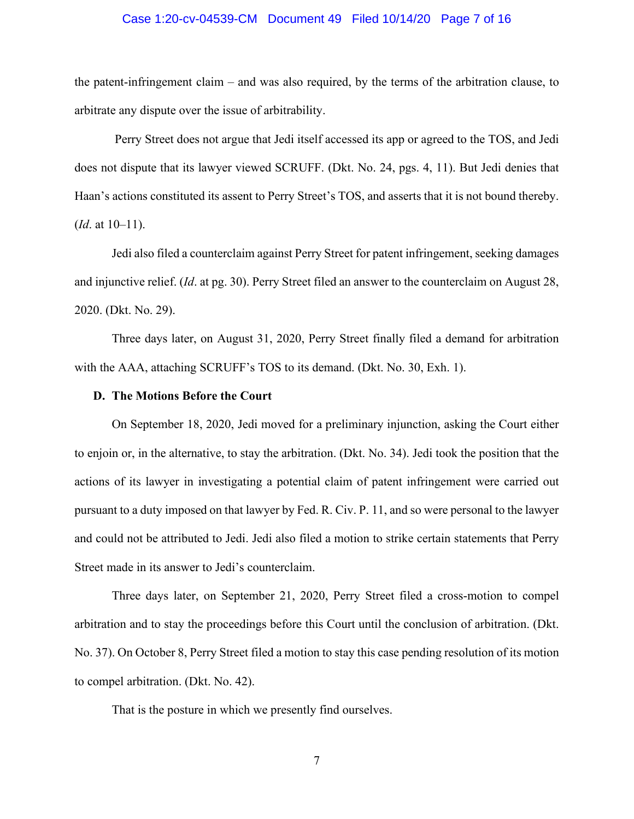### Case 1:20-cv-04539-CM Document 49 Filed 10/14/20 Page 7 of 16

the patent-infringement claim – and was also required, by the terms of the arbitration clause, to arbitrate any dispute over the issue of arbitrability.

Perry Street does not argue that Jedi itself accessed its app or agreed to the TOS, and Jedi does not dispute that its lawyer viewed SCRUFF. (Dkt. No. 24, pgs. 4, 11). But Jedi denies that Haan's actions constituted its assent to Perry Street's TOS, and asserts that it is not bound thereby. (*Id*. at 10–11).

Jedi also filed a counterclaim against Perry Street for patent infringement, seeking damages and injunctive relief. (*Id*. at pg. 30). Perry Street filed an answer to the counterclaim on August 28, 2020. (Dkt. No. 29).

Three days later, on August 31, 2020, Perry Street finally filed a demand for arbitration with the AAA, attaching SCRUFF's TOS to its demand. (Dkt. No. 30, Exh. 1).

#### **D. The Motions Before the Court**

On September 18, 2020, Jedi moved for a preliminary injunction, asking the Court either to enjoin or, in the alternative, to stay the arbitration. (Dkt. No. 34). Jedi took the position that the actions of its lawyer in investigating a potential claim of patent infringement were carried out pursuant to a duty imposed on that lawyer by Fed. R. Civ. P. 11, and so were personal to the lawyer and could not be attributed to Jedi. Jedi also filed a motion to strike certain statements that Perry Street made in its answer to Jedi's counterclaim.

Three days later, on September 21, 2020, Perry Street filed a cross-motion to compel arbitration and to stay the proceedings before this Court until the conclusion of arbitration. (Dkt. No. 37). On October 8, Perry Street filed a motion to stay this case pending resolution of its motion to compel arbitration. (Dkt. No. 42).

That is the posture in which we presently find ourselves.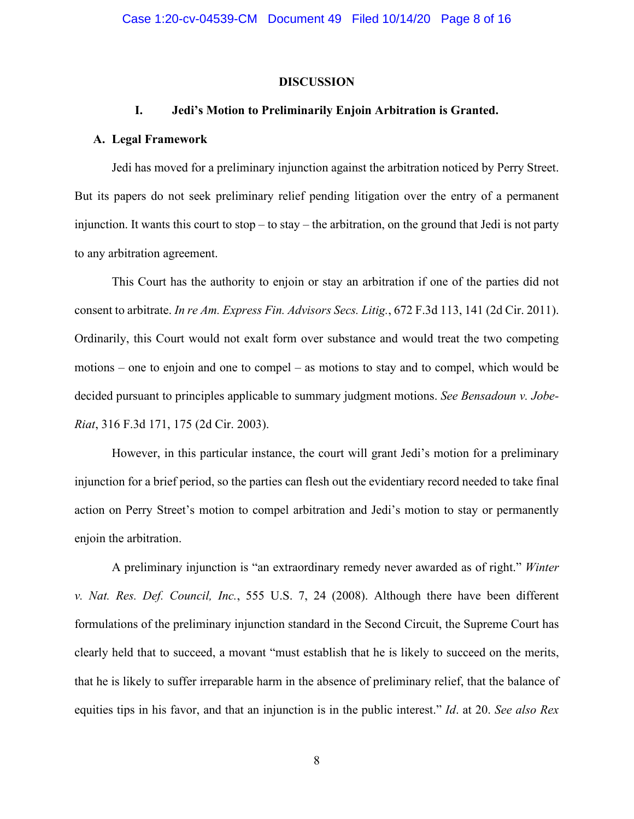#### **DISCUSSION**

#### **I. Jedi's Motion to Preliminarily Enjoin Arbitration is Granted.**

### **A. Legal Framework**

Jedi has moved for a preliminary injunction against the arbitration noticed by Perry Street. But its papers do not seek preliminary relief pending litigation over the entry of a permanent injunction. It wants this court to stop – to stay – the arbitration, on the ground that Jedi is not party to any arbitration agreement.

This Court has the authority to enjoin or stay an arbitration if one of the parties did not consent to arbitrate. *In re Am. Express Fin. Advisors Secs. Litig.*, 672 F.3d 113, 141 (2d Cir. 2011). Ordinarily, this Court would not exalt form over substance and would treat the two competing motions – one to enjoin and one to compel – as motions to stay and to compel, which would be decided pursuant to principles applicable to summary judgment motions. *See Bensadoun v. Jobe-Riat*, 316 F.3d 171, 175 (2d Cir. 2003).

However, in this particular instance, the court will grant Jedi's motion for a preliminary injunction for a brief period, so the parties can flesh out the evidentiary record needed to take final action on Perry Street's motion to compel arbitration and Jedi's motion to stay or permanently enjoin the arbitration.

A preliminary injunction is "an extraordinary remedy never awarded as of right." *Winter v. Nat. Res. Def. Council, Inc.*, 555 U.S. 7, 24 (2008). Although there have been different formulations of the preliminary injunction standard in the Second Circuit, the Supreme Court has clearly held that to succeed, a movant "must establish that he is likely to succeed on the merits, that he is likely to suffer irreparable harm in the absence of preliminary relief, that the balance of equities tips in his favor, and that an injunction is in the public interest." *Id*. at 20. *See also Rex*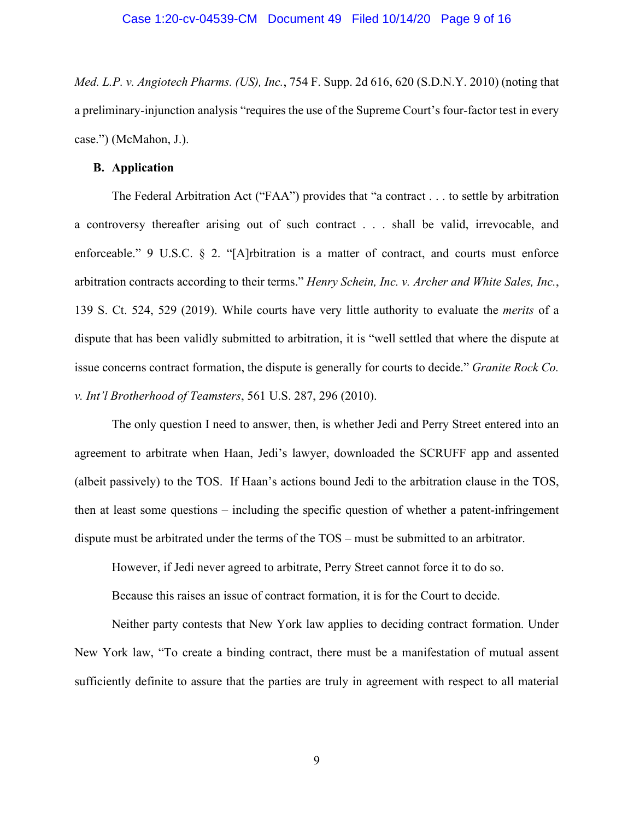*Med. L.P. v. Angiotech Pharms. (US), Inc.*, 754 F. Supp. 2d 616, 620 (S.D.N.Y. 2010) (noting that a preliminary-injunction analysis "requires the use of the Supreme Court's four-factor test in every case.") (McMahon, J.).

## **B. Application**

The Federal Arbitration Act ("FAA") provides that "a contract . . . to settle by arbitration a controversy thereafter arising out of such contract . . . shall be valid, irrevocable, and enforceable." 9 U.S.C. § 2. "[A]rbitration is a matter of contract, and courts must enforce arbitration contracts according to their terms." *Henry Schein, Inc. v. Archer and White Sales, Inc.*, 139 S. Ct. 524, 529 (2019). While courts have very little authority to evaluate the *merits* of a dispute that has been validly submitted to arbitration, it is "well settled that where the dispute at issue concerns contract formation, the dispute is generally for courts to decide." *Granite Rock Co. v. Int'l Brotherhood of Teamsters*, 561 U.S. 287, 296 (2010).

The only question I need to answer, then, is whether Jedi and Perry Street entered into an agreement to arbitrate when Haan, Jedi's lawyer, downloaded the SCRUFF app and assented (albeit passively) to the TOS. If Haan's actions bound Jedi to the arbitration clause in the TOS, then at least some questions – including the specific question of whether a patent-infringement dispute must be arbitrated under the terms of the TOS – must be submitted to an arbitrator.

However, if Jedi never agreed to arbitrate, Perry Street cannot force it to do so.

Because this raises an issue of contract formation, it is for the Court to decide.

Neither party contests that New York law applies to deciding contract formation. Under New York law, "To create a binding contract, there must be a manifestation of mutual assent sufficiently definite to assure that the parties are truly in agreement with respect to all material

9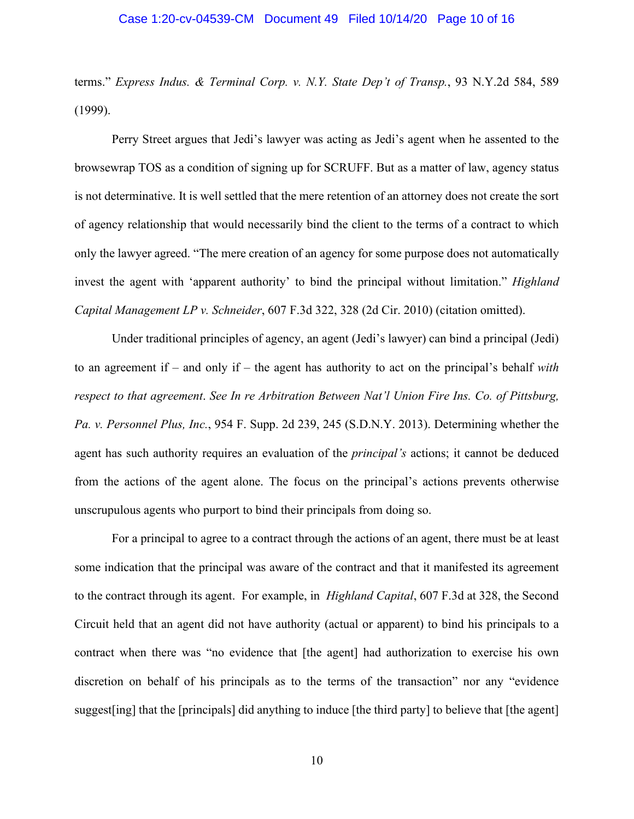### Case 1:20-cv-04539-CM Document 49 Filed 10/14/20 Page 10 of 16

terms." *Express Indus. & Terminal Corp. v. N.Y. State Dep't of Transp.*, 93 N.Y.2d 584, 589 (1999).

Perry Street argues that Jedi's lawyer was acting as Jedi's agent when he assented to the browsewrap TOS as a condition of signing up for SCRUFF. But as a matter of law, agency status is not determinative. It is well settled that the mere retention of an attorney does not create the sort of agency relationship that would necessarily bind the client to the terms of a contract to which only the lawyer agreed. "The mere creation of an agency for some purpose does not automatically invest the agent with 'apparent authority' to bind the principal without limitation." *Highland Capital Management LP v. Schneider*, 607 F.3d 322, 328 (2d Cir. 2010) (citation omitted).

Under traditional principles of agency, an agent (Jedi's lawyer) can bind a principal (Jedi) to an agreement if – and only if – the agent has authority to act on the principal's behalf *with respect to that agreement*. *See In re Arbitration Between Nat'l Union Fire Ins. Co. of Pittsburg, Pa. v. Personnel Plus, Inc.*, 954 F. Supp. 2d 239, 245 (S.D.N.Y. 2013). Determining whether the agent has such authority requires an evaluation of the *principal's* actions; it cannot be deduced from the actions of the agent alone. The focus on the principal's actions prevents otherwise unscrupulous agents who purport to bind their principals from doing so.

For a principal to agree to a contract through the actions of an agent, there must be at least some indication that the principal was aware of the contract and that it manifested its agreement to the contract through its agent. For example, in *Highland Capital*, 607 F.3d at 328, the Second Circuit held that an agent did not have authority (actual or apparent) to bind his principals to a contract when there was "no evidence that [the agent] had authorization to exercise his own discretion on behalf of his principals as to the terms of the transaction" nor any "evidence suggest[ing] that the [principals] did anything to induce [the third party] to believe that [the agent]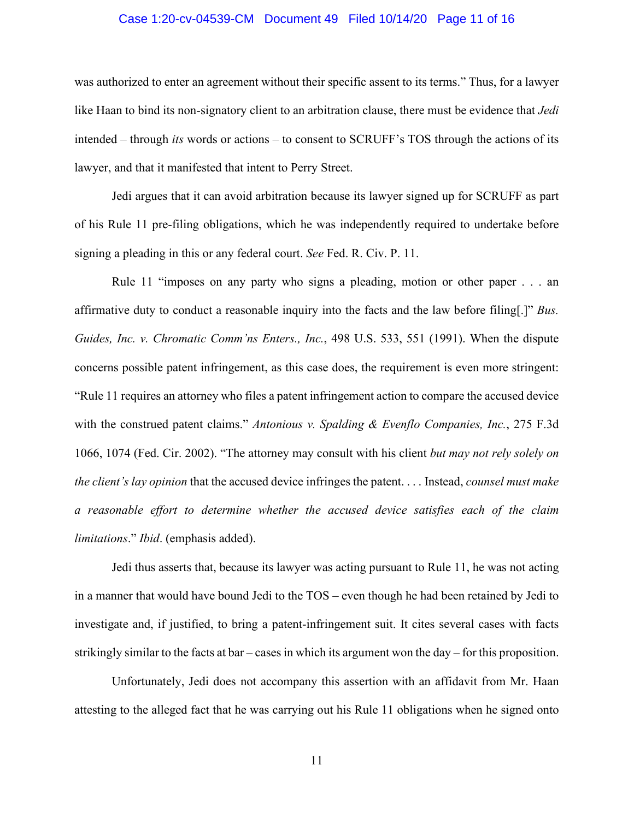## Case 1:20-cv-04539-CM Document 49 Filed 10/14/20 Page 11 of 16

was authorized to enter an agreement without their specific assent to its terms." Thus, for a lawyer like Haan to bind its non-signatory client to an arbitration clause, there must be evidence that *Jedi* intended – through *its* words or actions – to consent to SCRUFF's TOS through the actions of its lawyer, and that it manifested that intent to Perry Street.

Jedi argues that it can avoid arbitration because its lawyer signed up for SCRUFF as part of his Rule 11 pre-filing obligations, which he was independently required to undertake before signing a pleading in this or any federal court. *See* Fed. R. Civ. P. 11.

Rule 11 "imposes on any party who signs a pleading, motion or other paper . . . an affirmative duty to conduct a reasonable inquiry into the facts and the law before filing[.]" *Bus. Guides, Inc. v. Chromatic Comm'ns Enters., Inc.*, 498 U.S. 533, 551 (1991). When the dispute concerns possible patent infringement, as this case does, the requirement is even more stringent: "Rule 11 requires an attorney who files a patent infringement action to compare the accused device with the construed patent claims." *Antonious v. Spalding & Evenflo Companies, Inc.*, 275 F.3d 1066, 1074 (Fed. Cir. 2002). "The attorney may consult with his client *but may not rely solely on the client's lay opinion* that the accused device infringes the patent. . . . Instead, *counsel must make a reasonable effort to determine whether the accused device satisfies each of the claim limitations*." *Ibid*. (emphasis added).

Jedi thus asserts that, because its lawyer was acting pursuant to Rule 11, he was not acting in a manner that would have bound Jedi to the TOS – even though he had been retained by Jedi to investigate and, if justified, to bring a patent-infringement suit. It cites several cases with facts strikingly similar to the facts at bar – cases in which its argument won the day – for this proposition.

Unfortunately, Jedi does not accompany this assertion with an affidavit from Mr. Haan attesting to the alleged fact that he was carrying out his Rule 11 obligations when he signed onto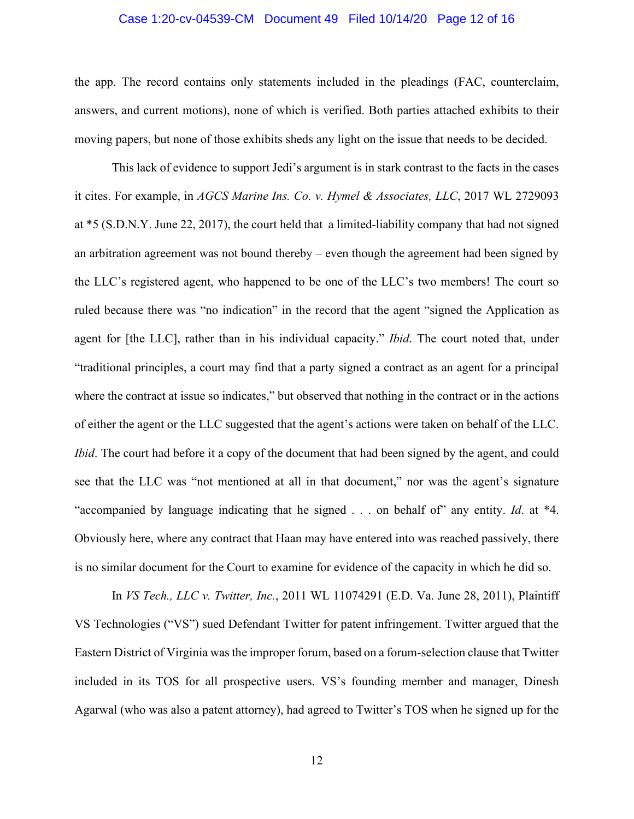### Case 1:20-cv-04539-CM Document 49 Filed 10/14/20 Page 12 of 16

the app. The record contains only statements included in the pleadings (FAC, counterclaim, answers, and current motions), none of which is verified. Both parties attached exhibits to their moving papers, but none of those exhibits sheds any light on the issue that needs to be decided.

This lack of evidence to support Jedi's argument is in stark contrast to the facts in the cases it cites. For example, in *AGCS Marine Ins. Co. v. Hymel & Associates, LLC*, 2017 WL 2729093 at \*5 (S.D.N.Y. June 22, 2017), the court held that a limited-liability company that had not signed an arbitration agreement was not bound thereby – even though the agreement had been signed by the LLC's registered agent, who happened to be one of the LLC's two members! The court so ruled because there was "no indication" in the record that the agent "signed the Application as agent for [the LLC], rather than in his individual capacity." *Ibid*. The court noted that, under "traditional principles, a court may find that a party signed a contract as an agent for a principal where the contract at issue so indicates," but observed that nothing in the contract or in the actions of either the agent or the LLC suggested that the agent's actions were taken on behalf of the LLC. *Ibid*. The court had before it a copy of the document that had been signed by the agent, and could see that the LLC was "not mentioned at all in that document," nor was the agent's signature "accompanied by language indicating that he signed . . . on behalf of" any entity. *Id*. at \*4. Obviously here, where any contract that Haan may have entered into was reached passively, there is no similar document for the Court to examine for evidence of the capacity in which he did so.

In *VS Tech., LLC v. Twitter, Inc.*, 2011 WL 11074291 (E.D. Va. June 28, 2011), Plaintiff VS Technologies ("VS") sued Defendant Twitter for patent infringement. Twitter argued that the Eastern District of Virginia was the improper forum, based on a forum-selection clause that Twitter included in its TOS for all prospective users. VS's founding member and manager, Dinesh Agarwal (who was also a patent attorney), had agreed to Twitter's TOS when he signed up for the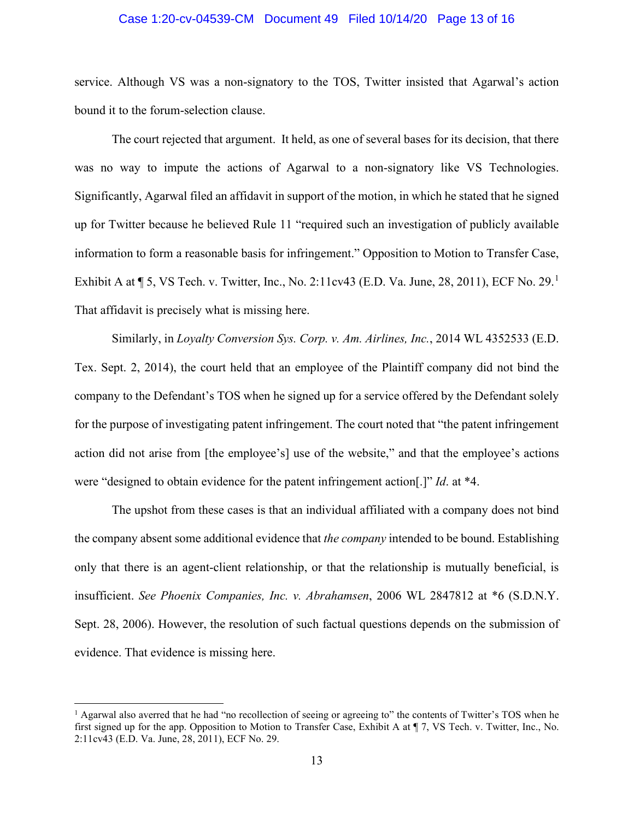### Case 1:20-cv-04539-CM Document 49 Filed 10/14/20 Page 13 of 16

service. Although VS was a non-signatory to the TOS, Twitter insisted that Agarwal's action bound it to the forum-selection clause.

The court rejected that argument. It held, as one of several bases for its decision, that there was no way to impute the actions of Agarwal to a non-signatory like VS Technologies. Significantly, Agarwal filed an affidavit in support of the motion, in which he stated that he signed up for Twitter because he believed Rule 11 "required such an investigation of publicly available information to form a reasonable basis for infringement." Opposition to Motion to Transfer Case, Exhibit A at ¶ 5, VS Tech. v. Twitter, Inc., No. 2:11cv43 (E.D. Va. June, 28, 2011), ECF No. 29.[1](#page-12-0) That affidavit is precisely what is missing here.

Similarly, in *Loyalty Conversion Sys. Corp. v. Am. Airlines, Inc.*, 2014 WL 4352533 (E.D. Tex. Sept. 2, 2014), the court held that an employee of the Plaintiff company did not bind the company to the Defendant's TOS when he signed up for a service offered by the Defendant solely for the purpose of investigating patent infringement. The court noted that "the patent infringement action did not arise from [the employee's] use of the website," and that the employee's actions were "designed to obtain evidence for the patent infringement action[.]" *Id*. at \*4.

The upshot from these cases is that an individual affiliated with a company does not bind the company absent some additional evidence that *the company* intended to be bound. Establishing only that there is an agent-client relationship, or that the relationship is mutually beneficial, is insufficient. *See Phoenix Companies, Inc. v. Abrahamsen*, 2006 WL 2847812 at \*6 (S.D.N.Y. Sept. 28, 2006). However, the resolution of such factual questions depends on the submission of evidence. That evidence is missing here.

<span id="page-12-0"></span><sup>&</sup>lt;sup>1</sup> Agarwal also averred that he had "no recollection of seeing or agreeing to" the contents of Twitter's TOS when he first signed up for the app. Opposition to Motion to Transfer Case, Exhibit A at ¶ 7, VS Tech. v. Twitter, Inc., No. 2:11cv43 (E.D. Va. June, 28, 2011), ECF No. 29.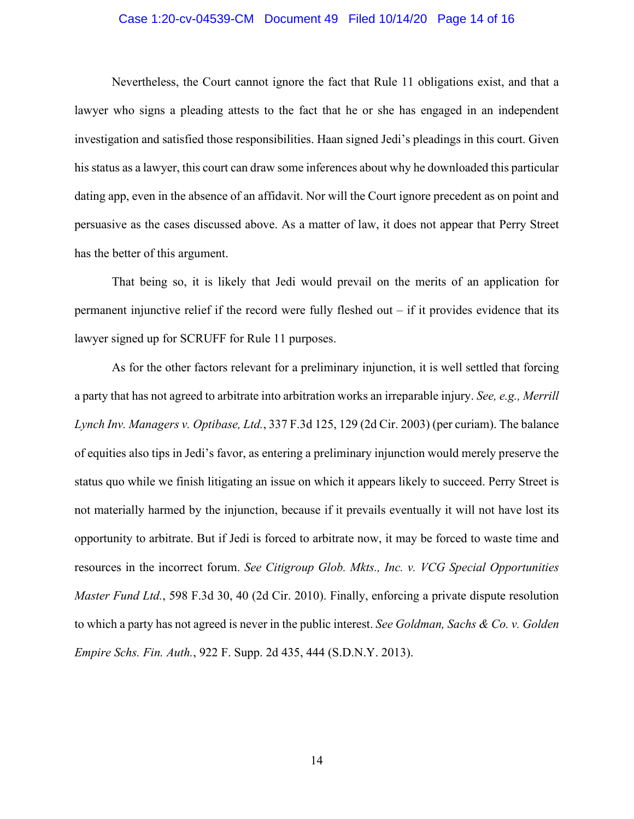### Case 1:20-cv-04539-CM Document 49 Filed 10/14/20 Page 14 of 16

Nevertheless, the Court cannot ignore the fact that Rule 11 obligations exist, and that a lawyer who signs a pleading attests to the fact that he or she has engaged in an independent investigation and satisfied those responsibilities. Haan signed Jedi's pleadings in this court. Given his status as a lawyer, this court can draw some inferences about why he downloaded this particular dating app, even in the absence of an affidavit. Nor will the Court ignore precedent as on point and persuasive as the cases discussed above. As a matter of law, it does not appear that Perry Street has the better of this argument.

That being so, it is likely that Jedi would prevail on the merits of an application for permanent injunctive relief if the record were fully fleshed out – if it provides evidence that its lawyer signed up for SCRUFF for Rule 11 purposes.

As for the other factors relevant for a preliminary injunction, it is well settled that forcing a party that has not agreed to arbitrate into arbitration works an irreparable injury. *See, e.g., Merrill Lynch Inv. Managers v. Optibase, Ltd.*, 337 F.3d 125, 129 (2d Cir. 2003) (per curiam). The balance of equities also tips in Jedi's favor, as entering a preliminary injunction would merely preserve the status quo while we finish litigating an issue on which it appears likely to succeed. Perry Street is not materially harmed by the injunction, because if it prevails eventually it will not have lost its opportunity to arbitrate. But if Jedi is forced to arbitrate now, it may be forced to waste time and resources in the incorrect forum. *See Citigroup Glob. Mkts., Inc. v. VCG Special Opportunities Master Fund Ltd.*, 598 F.3d 30, 40 (2d Cir. 2010). Finally, enforcing a private dispute resolution to which a party has not agreed is never in the public interest. *See Goldman, Sachs & Co. v. Golden Empire Schs. Fin. Auth.*, 922 F. Supp. 2d 435, 444 (S.D.N.Y. 2013).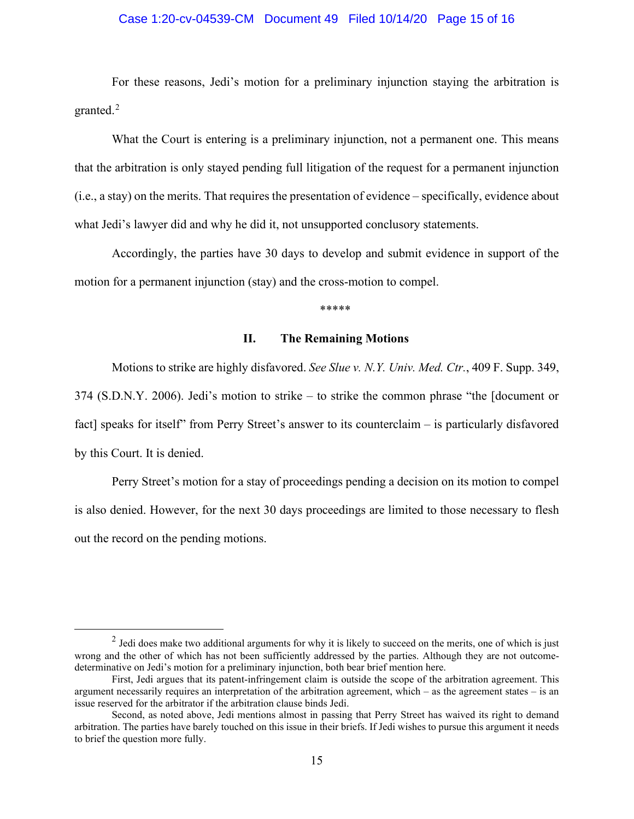## Case 1:20-cv-04539-CM Document 49 Filed 10/14/20 Page 15 of 16

For these reasons, Jedi's motion for a preliminary injunction staying the arbitration is granted.<sup>[2](#page-14-0)</sup>

What the Court is entering is a preliminary injunction, not a permanent one. This means that the arbitration is only stayed pending full litigation of the request for a permanent injunction (i.e., a stay) on the merits. That requires the presentation of evidence – specifically, evidence about what Jedi's lawyer did and why he did it, not unsupported conclusory statements.

Accordingly, the parties have 30 days to develop and submit evidence in support of the motion for a permanent injunction (stay) and the cross-motion to compel.

\*\*\*\*\*

## **II. The Remaining Motions**

Motions to strike are highly disfavored. *See Slue v. N.Y. Univ. Med. Ctr.*, 409 F. Supp. 349, 374 (S.D.N.Y. 2006). Jedi's motion to strike – to strike the common phrase "the [document or fact] speaks for itself" from Perry Street's answer to its counterclaim – is particularly disfavored by this Court. It is denied.

Perry Street's motion for a stay of proceedings pending a decision on its motion to compel is also denied. However, for the next 30 days proceedings are limited to those necessary to flesh out the record on the pending motions.

<span id="page-14-0"></span> $2$  Jedi does make two additional arguments for why it is likely to succeed on the merits, one of which is just wrong and the other of which has not been sufficiently addressed by the parties. Although they are not outcomedeterminative on Jedi's motion for a preliminary injunction, both bear brief mention here.

First, Jedi argues that its patent-infringement claim is outside the scope of the arbitration agreement. This argument necessarily requires an interpretation of the arbitration agreement, which – as the agreement states – is an issue reserved for the arbitrator if the arbitration clause binds Jedi.

Second, as noted above, Jedi mentions almost in passing that Perry Street has waived its right to demand arbitration. The parties have barely touched on this issue in their briefs. If Jedi wishes to pursue this argument it needs to brief the question more fully.